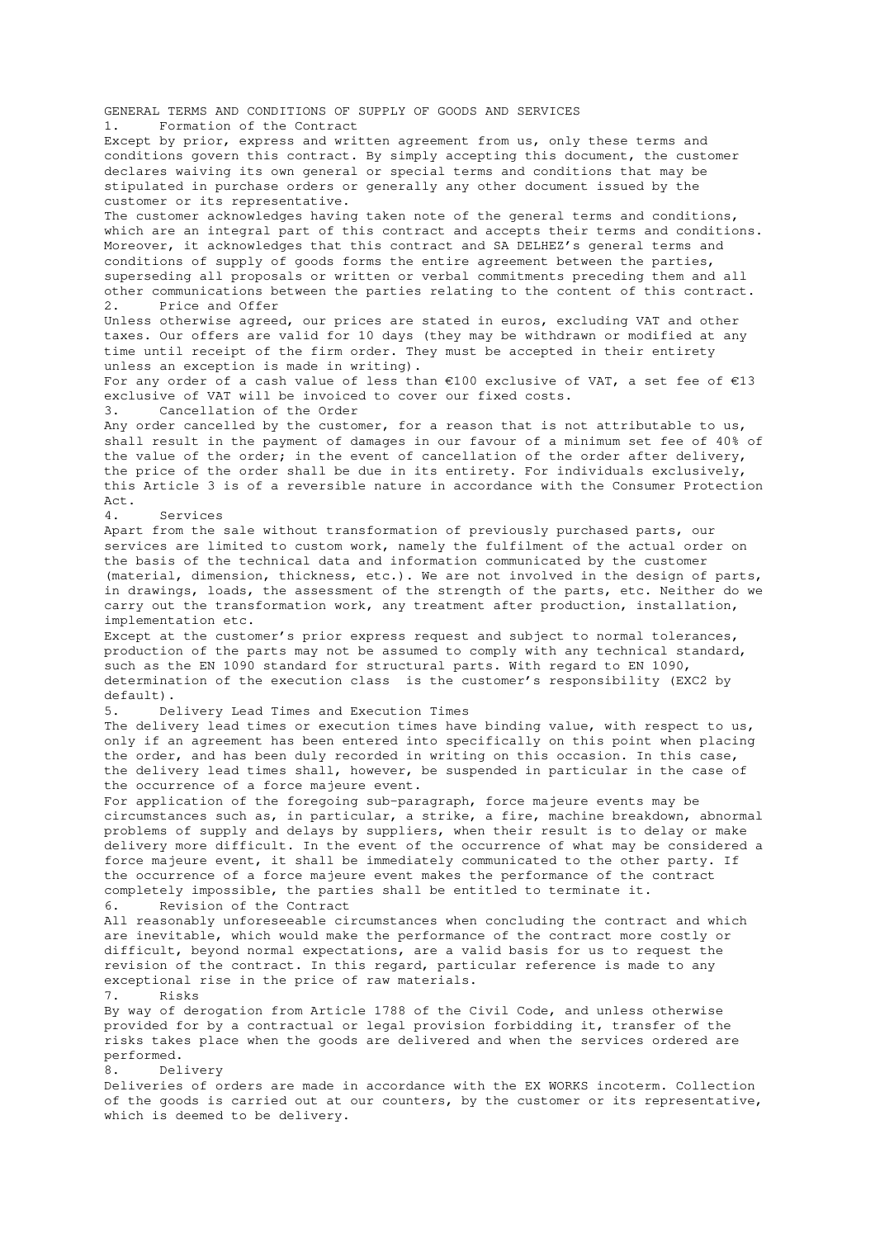GENERAL TERMS AND CONDITIONS OF SUPPLY OF GOODS AND SERVICES 1. Formation of the Contract

Except by prior, express and written agreement from us, only these terms and conditions govern this contract. By simply accepting this document, the customer declares waiving its own general or special terms and conditions that may be stipulated in purchase orders or generally any other document issued by the customer or its representative.

The customer acknowledges having taken note of the general terms and conditions, which are an integral part of this contract and accepts their terms and conditions. Moreover, it acknowledges that this contract and SA DELHEZ's general terms and conditions of supply of goods forms the entire agreement between the parties, superseding all proposals or written or verbal commitments preceding them and all other communications between the parties relating to the content of this contract. 2. Price and Offer

Unless otherwise agreed, our prices are stated in euros, excluding VAT and other taxes. Our offers are valid for 10 days (they may be withdrawn or modified at any time until receipt of the firm order. They must be accepted in their entirety unless an exception is made in writing).

For any order of a cash value of less than €100 exclusive of VAT, a set fee of €13 exclusive of VAT will be invoiced to cover our fixed costs.

3. Cancellation of the Order

Any order cancelled by the customer, for a reason that is not attributable to us, shall result in the payment of damages in our favour of a minimum set fee of 40% of the value of the order; in the event of cancellation of the order after delivery, the price of the order shall be due in its entirety. For individuals exclusively, this Article 3 is of a reversible nature in accordance with the Consumer Protection  $Act$ 

4. Services

Apart from the sale without transformation of previously purchased parts, our services are limited to custom work, namely the fulfilment of the actual order on the basis of the technical data and information communicated by the customer (material, dimension, thickness, etc.). We are not involved in the design of parts, in drawings, loads, the assessment of the strength of the parts, etc. Neither do we carry out the transformation work, any treatment after production, installation, implementation etc.

Except at the customer's prior express request and subject to normal tolerances, production of the parts may not be assumed to comply with any technical standard, such as the EN 1090 standard for structural parts. With regard to EN 1090, determination of the execution class is the customer's responsibility (EXC2 by default).

5. Delivery Lead Times and Execution Times

The delivery lead times or execution times have binding value, with respect to us, only if an agreement has been entered into specifically on this point when placing the order, and has been duly recorded in writing on this occasion. In this case, the delivery lead times shall, however, be suspended in particular in the case of the occurrence of a force majeure event.

For application of the foregoing sub-paragraph, force majeure events may be circumstances such as, in particular, a strike, a fire, machine breakdown, abnormal problems of supply and delays by suppliers, when their result is to delay or make delivery more difficult. In the event of the occurrence of what may be considered a force majeure event, it shall be immediately communicated to the other party. If the occurrence of a force majeure event makes the performance of the contract completely impossible, the parties shall be entitled to terminate it. 6. Revision of the Contract

All reasonably unforeseeable circumstances when concluding the contract and which are inevitable, which would make the performance of the contract more costly or difficult, beyond normal expectations, are a valid basis for us to request the revision of the contract. In this regard, particular reference is made to any exceptional rise in the price of raw materials.<br>7. Risks

7. Risks

By way of derogation from Article 1788 of the Civil Code, and unless otherwise provided for by a contractual or legal provision forbidding it, transfer of the risks takes place when the goods are delivered and when the services ordered are performed.

8. Delivery

Deliveries of orders are made in accordance with the EX WORKS incoterm. Collection of the goods is carried out at our counters, by the customer or its representative, which is deemed to be delivery.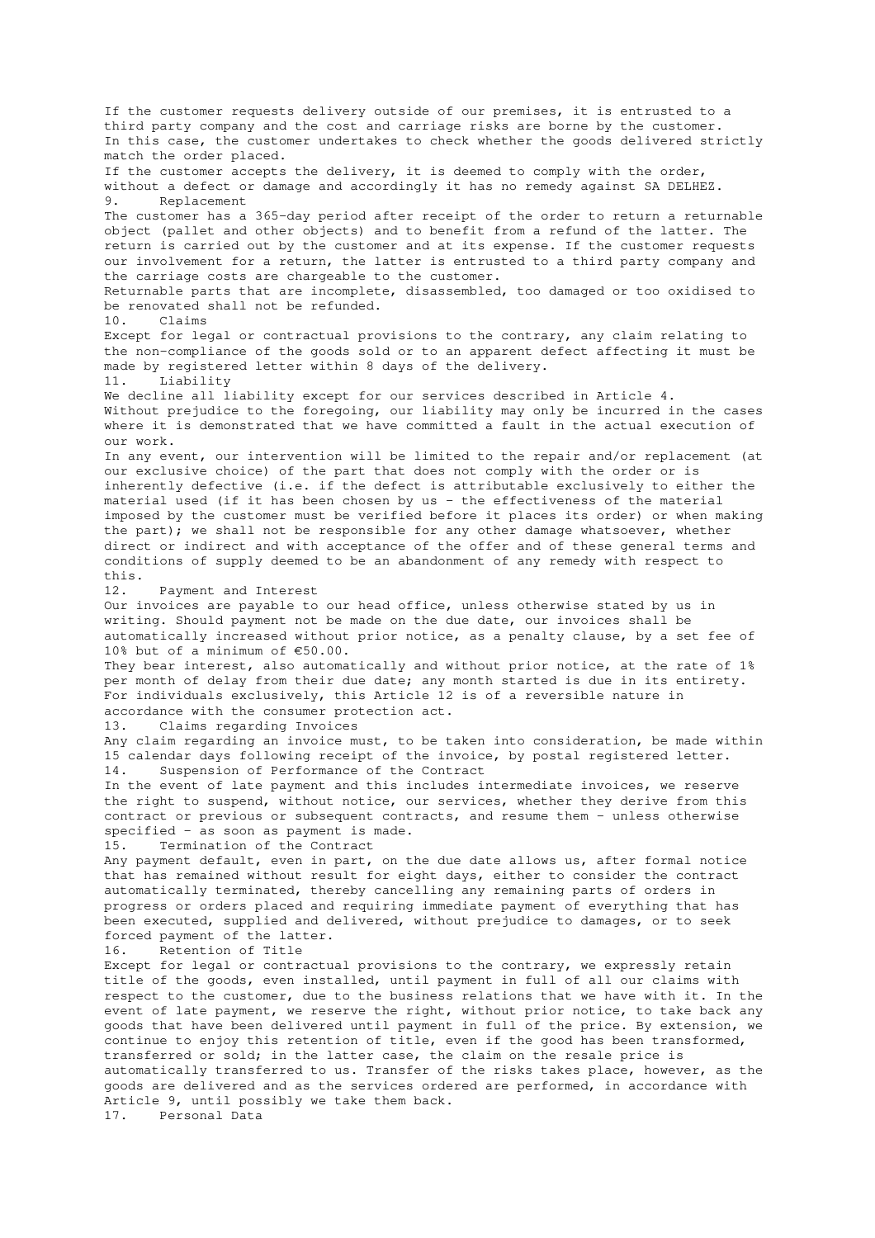If the customer requests delivery outside of our premises, it is entrusted to a third party company and the cost and carriage risks are borne by the customer. In this case, the customer undertakes to check whether the goods delivered strictly match the order placed. If the customer accepts the delivery, it is deemed to comply with the order, without a defect or damage and accordingly it has no remedy against SA DELHEZ. 9. Replacement The customer has a 365-day period after receipt of the order to return a returnable object (pallet and other objects) and to benefit from a refund of the latter. The return is carried out by the customer and at its expense. If the customer requests our involvement for a return, the latter is entrusted to a third party company and the carriage costs are chargeable to the customer. Returnable parts that are incomplete, disassembled, too damaged or too oxidised to be renovated shall not be refunded. 10. Claims Except for legal or contractual provisions to the contrary, any claim relating to the non-compliance of the goods sold or to an apparent defect affecting it must be made by registered letter within 8 days of the delivery. 11. Liability We decline all liability except for our services described in Article 4. Without prejudice to the foregoing, our liability may only be incurred in the cases where it is demonstrated that we have committed a fault in the actual execution of our work. In any event, our intervention will be limited to the repair and/or replacement (at our exclusive choice) of the part that does not comply with the order or is inherently defective (i.e. if the defect is attributable exclusively to either the material used (if it has been chosen by us - the effectiveness of the material imposed by the customer must be verified before it places its order) or when making the part); we shall not be responsible for any other damage whatsoever, whether direct or indirect and with acceptance of the offer and of these general terms and conditions of supply deemed to be an abandonment of any remedy with respect to this. 12. Payment and Interest Our invoices are payable to our head office, unless otherwise stated by us in writing. Should payment not be made on the due date, our invoices shall be automatically increased without prior notice, as a penalty clause, by a set fee of 10% but of a minimum of €50.00. They bear interest, also automatically and without prior notice, at the rate of 1% per month of delay from their due date; any month started is due in its entirety. For individuals exclusively, this Article 12 is of a reversible nature in accordance with the consumer protection act. 13. Claims regarding Invoices Any claim regarding an invoice must, to be taken into consideration, be made within 15 calendar days following receipt of the invoice, by postal registered letter. 14. Suspension of Performance of the Contract In the event of late payment and this includes intermediate invoices, we reserve the right to suspend, without notice, our services, whether they derive from this contract or previous or subsequent contracts, and resume them - unless otherwise specified - as soon as payment is made. 15. Termination of the Contract Any payment default, even in part, on the due date allows us, after formal notice that has remained without result for eight days, either to consider the contract automatically terminated, thereby cancelling any remaining parts of orders in progress or orders placed and requiring immediate payment of everything that has been executed, supplied and delivered, without prejudice to damages, or to seek forced payment of the latter. 16. Retention of Title Except for legal or contractual provisions to the contrary, we expressly retain title of the goods, even installed, until payment in full of all our claims with respect to the customer, due to the business relations that we have with it. In the event of late payment, we reserve the right, without prior notice, to take back any goods that have been delivered until payment in full of the price. By extension, we continue to enjoy this retention of title, even if the good has been transformed, transferred or sold; in the latter case, the claim on the resale price is automatically transferred to us. Transfer of the risks takes place, however, as the goods are delivered and as the services ordered are performed, in accordance with Article 9, until possibly we take them back. 17. Personal Data